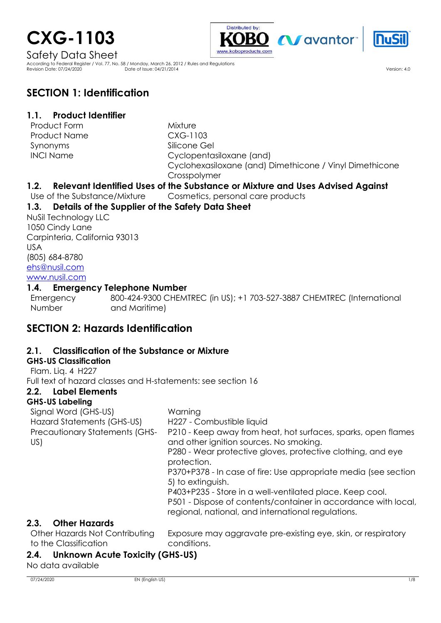# **CXG-1103**





Safety Data Sheet

According to Federal Register / Vol. 77, No. 58 / Monday, March 26, 2012 / Rules and Regulations Revision Date: 07/24/2020 Date of Issue: 04/21/2014 Version: 4.0

# **SECTION 1: Identification**

### **1.1. Product Identifier**

Product Form Mixture Product Name  $C XG-1103$ Synonyms INCI Name

Silicone Gel Cyclopentasiloxane (and) Cyclohexasiloxane (and) Dimethicone / Vinyl Dimethicone Crosspolymer

### **1.2. Relevant Identified Uses of the Substance or Mixture and Uses Advised Against**

Use of the Substance/Mixture Cosmetics, personal care products

### **1.3. Details of the Supplier of the Safety Data Sheet**

NuSil Technology LLC 1050 Cindy Lane Carpinteria, California 93013 USA (805) 684-8780 [ehs@nusil.com](mailto:ehs@nusil.com) [www.nusil.com](http://www.nusil.com/)

### **1.4. Emergency Telephone Number**

**Emergency** Number : 800-424-9300 CHEMTREC (in US); +1 703-527-3887 CHEMTREC (International and Maritime)

# **SECTION 2: Hazards Identification**

### **2.1. Classification of the Substance or Mixture**

#### **GHS-US Classification**

Flam. Liq. 4 H227 Full text of hazard classes and H-statements: see section 16

### **2.2. Label Elements**

### **GHS-US Labeling**

| Warning                                                                                                                                                                          |
|----------------------------------------------------------------------------------------------------------------------------------------------------------------------------------|
| H227 - Combustible liquid                                                                                                                                                        |
| P210 - Keep away from heat, hot surfaces, sparks, open flames<br>and other ignition sources. No smoking.                                                                         |
| P280 - Wear protective gloves, protective clothing, and eye<br>protection.                                                                                                       |
| P370+P378 - In case of fire: Use appropriate media (see section<br>5) to extinguish.                                                                                             |
| P403+P235 - Store in a well-ventilated place. Keep cool.<br>P501 - Dispose of contents/container in accordance with local,<br>regional, national, and international regulations. |
|                                                                                                                                                                                  |

### **2.3. Other Hazards**

Other Hazards Not Contributing to the Classification

Exposure may aggravate pre-existing eye, skin, or respiratory conditions.

### **2.4. Unknown Acute Toxicity (GHS-US)**

No data available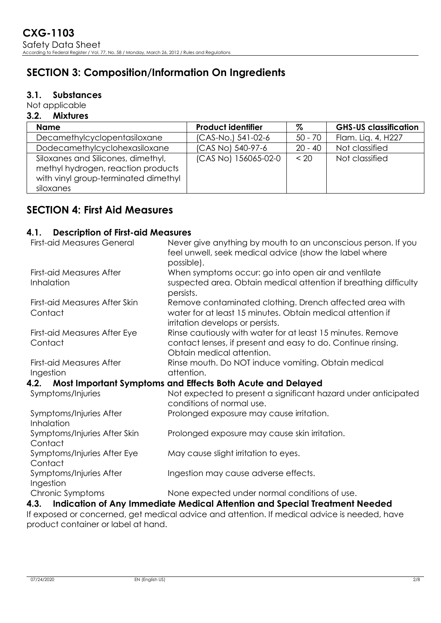# **SECTION 3: Composition/Information On Ingredients**

#### **3.1. Substances**

Not applicable

#### **3.2. Mixtures**

| <b>Name</b>                                                                                                                   | <b>Product identifier</b> | %         | <b>GHS-US classification</b> |
|-------------------------------------------------------------------------------------------------------------------------------|---------------------------|-----------|------------------------------|
| Decamethylcyclopentasiloxane                                                                                                  | (CAS-No.) 541-02-6        | $50 - 70$ | Flam. Liq. 4, H227           |
| Dodecamethylcyclohexasiloxane                                                                                                 | (CAS No) 540-97-6         | $20 - 40$ | Not classified               |
| Siloxanes and Silicones, dimethyl,<br>methyl hydrogen, reaction products<br>with vinyl group-terminated dimethyl<br>siloxanes | (CAS No) 156065-02-0      | < 20      | Not classified               |

# **SECTION 4: First Aid Measures**

### **4.1. Description of First-aid Measures**

| Never give anything by mouth to an unconscious person. If you<br>feel unwell, seek medical advice (show the label where |
|-------------------------------------------------------------------------------------------------------------------------|
| possible).                                                                                                              |
| When symptoms occur: go into open air and ventilate                                                                     |
| suspected area. Obtain medical attention if breathing difficulty<br>persists.                                           |
| Remove contaminated clothing. Drench affected area with                                                                 |
| water for at least 15 minutes. Obtain medical attention if<br>irritation develops or persists.                          |
| Rinse cautiously with water for at least 15 minutes. Remove                                                             |
| contact lenses, if present and easy to do. Continue rinsing.<br>Obtain medical attention.                               |
| Rinse mouth. Do NOT induce vomiting. Obtain medical                                                                     |
| attention.                                                                                                              |
| 4.2. Most Important Symptoms and Effects Both Acute and Delayed                                                         |
| Not expected to present a significant hazard under anticipated<br>conditions of normal use.                             |
| Prolonged exposure may cause irritation.                                                                                |
| Prolonged exposure may cause skin irritation.                                                                           |
|                                                                                                                         |
| May cause slight irritation to eyes.                                                                                    |
|                                                                                                                         |
| Ingestion may cause adverse effects.                                                                                    |
| None expected under normal conditions of use.                                                                           |
| 4.3. Indication of Any Immediate Medical Attention and Special Treatment Needed                                         |
|                                                                                                                         |

If exposed or concerned, get medical advice and attention. If medical advice is needed, have product container or label at hand.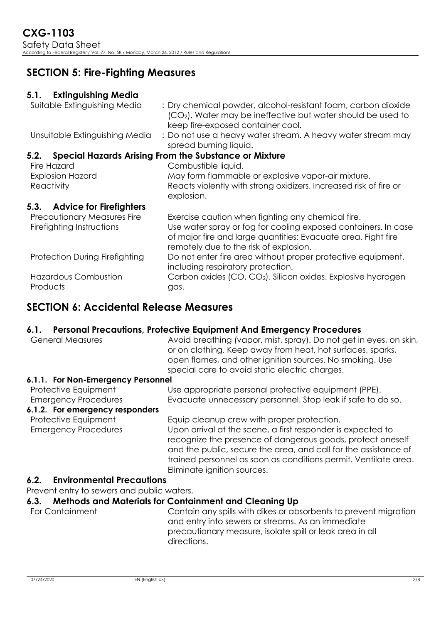# **SECTION 5: Fire-Fighting Measures**

### **5.1. Extinguishing Media**

| : Dry chemical powder, alcohol-resistant foam, carbon dioxide<br>(CO <sub>2</sub> ). Water may be ineffective but water should be used to<br>keep fire-exposed container cool.                                                 |
|--------------------------------------------------------------------------------------------------------------------------------------------------------------------------------------------------------------------------------|
| : Do not use a heavy water stream. A heavy water stream may<br>spread burning liquid.                                                                                                                                          |
| <b>Special Hazards Arising From the Substance or Mixture</b>                                                                                                                                                                   |
| Combustible liquid.                                                                                                                                                                                                            |
| May form flammable or explosive vapor-air mixture.                                                                                                                                                                             |
| Reacts violently with strong oxidizers. Increased risk of fire or<br>explosion.                                                                                                                                                |
|                                                                                                                                                                                                                                |
|                                                                                                                                                                                                                                |
| Exercise caution when fighting any chemical fire.<br>Use water spray or fog for cooling exposed containers. In case<br>of major fire and large quantities: Evacuate area. Fight fire<br>remotely due to the risk of explosion. |
| Do not enter fire area without proper protective equipment,<br>including respiratory protection.                                                                                                                               |
| Carbon oxides (CO, CO <sub>2</sub> ). Silicon oxides. Explosive hydrogen<br>gas.                                                                                                                                               |
|                                                                                                                                                                                                                                |

# **SECTION 6: Accidental Release Measures**

### **6.1. Personal Precautions, Protective Equipment And Emergency Procedures**

| <b>General Measures</b>                             | Avoid breathing (vapor, mist, spray). Do not get in eyes, on skin,<br>or on clothing. Keep away from heat, hot surfaces, sparks,<br>open flames, and other ignition sources. No smoking. Use<br>special care to avoid static electric charges.                                                                                               |
|-----------------------------------------------------|----------------------------------------------------------------------------------------------------------------------------------------------------------------------------------------------------------------------------------------------------------------------------------------------------------------------------------------------|
| 6.1.1. For Non-Emergency Personnel                  |                                                                                                                                                                                                                                                                                                                                              |
| Protective Equipment<br><b>Emergency Procedures</b> | Use appropriate personal protective equipment (PPE).<br>Evacuate unnecessary personnel. Stop leak if safe to do so.                                                                                                                                                                                                                          |
| 6.1.2. For emergency responders                     |                                                                                                                                                                                                                                                                                                                                              |
| Protective Equipment<br><b>Emergency Procedures</b> | Equip cleanup crew with proper protection.<br>Upon arrival at the scene, a first responder is expected to<br>recognize the presence of dangerous goods, protect oneself<br>and the public, secure the area, and call for the assistance of<br>trained personnel as soon as conditions permit. Ventilate area.<br>Eliminate ignition sources. |
| <b>Environmental Precautions</b><br>6.2.            |                                                                                                                                                                                                                                                                                                                                              |
| Prevent entry to sewers and public waters.          |                                                                                                                                                                                                                                                                                                                                              |
| 6.3.                                                | <b>Methods and Materials for Containment and Cleaning Up</b>                                                                                                                                                                                                                                                                                 |
| For Containment                                     | Contain any spills with dikes or absorbents to prevent migration                                                                                                                                                                                                                                                                             |

and entry into sewers or streams. As an immediate precautionary measure, isolate spill or leak area in all directions.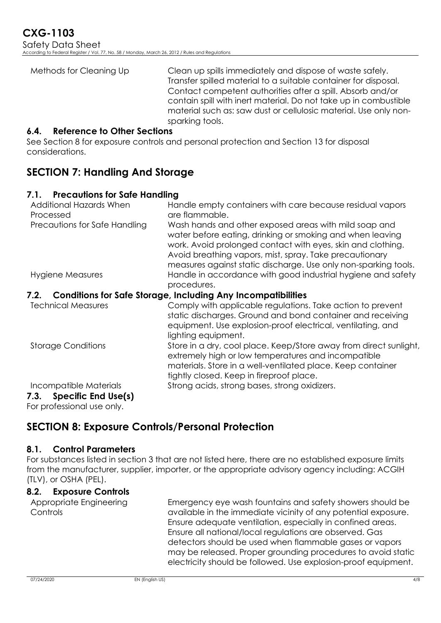| Methods for Cleaning Up | Clean up spills immediately and dispose of waste safely.<br>Transfer spilled material to a suitable container for disposal.    |
|-------------------------|--------------------------------------------------------------------------------------------------------------------------------|
|                         | Contact competent authorities after a spill. Absorb and/or<br>contain spill with inert material. Do not take up in combustible |
|                         | material such as: saw dust or cellulosic material. Use only non-<br>sparking tools.                                            |

#### **6.4. Reference to Other Sections**

See Section 8 for exposure controls and personal protection and Section 13 for disposal considerations.

# **SECTION 7: Handling And Storage**

### **7.1. Precautions for Safe Handling**

| Additional Hazards When<br>Processed | Handle empty containers with care because residual vapors<br>are flammable.                                                                                                                                                                                                                                     |
|--------------------------------------|-----------------------------------------------------------------------------------------------------------------------------------------------------------------------------------------------------------------------------------------------------------------------------------------------------------------|
| Precautions for Safe Handling        | Wash hands and other exposed areas with mild soap and<br>water before eating, drinking or smoking and when leaving<br>work. Avoid prolonged contact with eyes, skin and clothing.<br>Avoid breathing vapors, mist, spray. Take precautionary<br>measures against static discharge. Use only non-sparking tools. |
| Hygiene Measures                     | Handle in accordance with good industrial hygiene and safety<br>procedures.                                                                                                                                                                                                                                     |
| 7.2.                                 | <b>Conditions for Safe Storage, Including Any Incompatibilities</b>                                                                                                                                                                                                                                             |
| <b>Technical Measures</b>            | Comply with applicable regulations. Take action to prevent<br>static discharges. Ground and bond container and receiving<br>equipment. Use explosion-proof electrical, ventilating, and<br>lighting equipment.                                                                                                  |
| <b>Storage Conditions</b>            | Store in a dry, cool place. Keep/Store away from direct sunlight,<br>extremely high or low temperatures and incompatible<br>materials. Store in a well-ventilated place. Keep container<br>tightly closed. Keep in fireproof place.                                                                             |
| Incompatible Materials               | Strong acids, strong bases, strong oxidizers.                                                                                                                                                                                                                                                                   |
| 7.3. Specific End Use(s)             |                                                                                                                                                                                                                                                                                                                 |

For professional use only.

# **SECTION 8: Exposure Controls/Personal Protection**

#### **8.1. Control Parameters**

For substances listed in section 3 that are not listed here, there are no established exposure limits from the manufacturer, supplier, importer, or the appropriate advisory agency including: ACGIH (TLV), or OSHA (PEL).

### **8.2. Exposure Controls**

Appropriate Engineering Controls

Emergency eye wash fountains and safety showers should be available in the immediate vicinity of any potential exposure. Ensure adequate ventilation, especially in confined areas. Ensure all national/local regulations are observed. Gas detectors should be used when flammable gases or vapors may be released. Proper grounding procedures to avoid static electricity should be followed. Use explosion-proof equipment.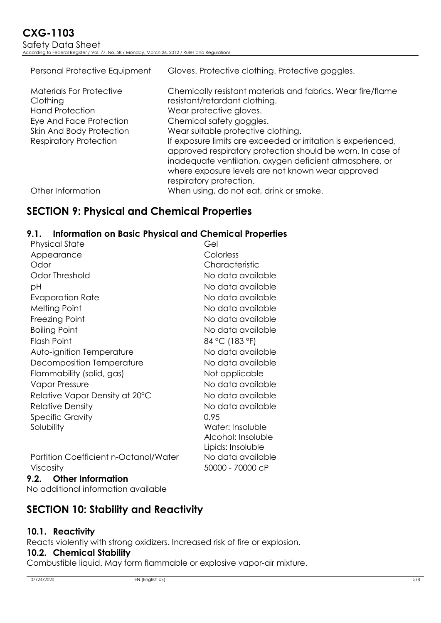| Personal Protective Equipment                                                                                                | Gloves. Protective clothing. Protective goggles.                                                                                                                                                                                                                       |
|------------------------------------------------------------------------------------------------------------------------------|------------------------------------------------------------------------------------------------------------------------------------------------------------------------------------------------------------------------------------------------------------------------|
| <b>Materials For Protective</b><br>Clothing<br><b>Hand Protection</b><br>Eye And Face Protection<br>Skin And Body Protection | Chemically resistant materials and fabrics. Wear fire/flame<br>resistant/retardant clothing.<br>Wear protective gloves.<br>Chemical safety goggles.<br>Wear suitable protective clothing.                                                                              |
| <b>Respiratory Protection</b>                                                                                                | If exposure limits are exceeded or irritation is experienced,<br>approved respiratory protection should be worn. In case of<br>inadequate ventilation, oxygen deficient atmosphere, or<br>where exposure levels are not known wear approved<br>respiratory protection. |
| Other Information                                                                                                            | When using, do not eat, drink or smoke.                                                                                                                                                                                                                                |

# **SECTION 9: Physical and Chemical Properties**

### **9.1. Information on Basic Physical and Chemical Properties**

| Physical State                               | Gel                |
|----------------------------------------------|--------------------|
| Appearance                                   | Colorless          |
| Odor                                         | Characteristic     |
| Odor Threshold                               | No data available  |
| рH                                           | No data available  |
| Evaporation Rate                             | No data available  |
| <b>Melting Point</b>                         | No data available  |
| Freezing Point                               | No data available  |
| <b>Boiling Point</b>                         | No data available  |
| <b>Flash Point</b>                           | 84 °C (183 °F)     |
| Auto-ignition Temperature                    | No data available  |
| Decomposition Temperature                    | No data available  |
| Flammability (solid, gas)                    | Not applicable     |
| <b>Vapor Pressure</b>                        | No data available  |
| Relative Vapor Density at 20°C               | No data available  |
| <b>Relative Density</b>                      | No data available  |
| <b>Specific Gravity</b>                      | 0.95               |
| Solubility                                   | Water: Insoluble   |
|                                              | Alcohol: Insoluble |
|                                              | Lipids: Insoluble  |
| <b>Partition Coefficient n-Octanol/Water</b> | No data available  |
| Viscosity                                    | 50000 - 70000 cP   |

**9.2. Other Information** No additional information available

**SECTION 10: Stability and Reactivity**

### **10.1. Reactivity**

Reacts violently with strong oxidizers. Increased risk of fire or explosion.

#### **10.2. Chemical Stability**

Combustible liquid. May form flammable or explosive vapor-air mixture.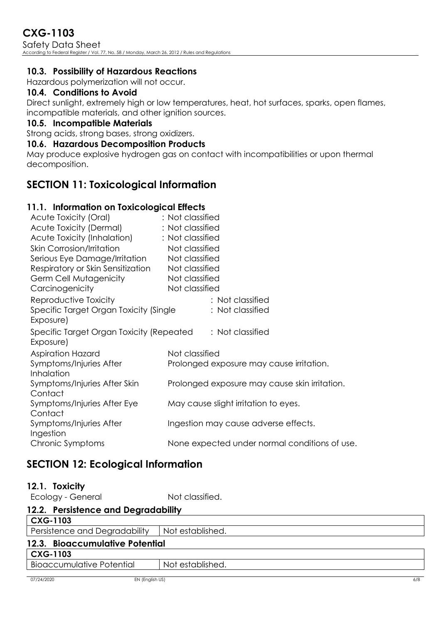# **CXG-1103**

Safety Data Sheet According to Federal Register / Vol. 77, No. 58 / Monday, March 26, 2012 / Rules and Regulations

#### **10.3. Possibility of Hazardous Reactions**

Hazardous polymerization will not occur.

#### **10.4. Conditions to Avoid**

Direct sunlight, extremely high or low temperatures, heat, hot surfaces, sparks, open flames, incompatible materials, and other ignition sources.

#### **10.5. Incompatible Materials**

Strong acids, strong bases, strong oxidizers.

#### **10.6. Hazardous Decomposition Products**

May produce explosive hydrogen gas on contact with incompatibilities or upon thermal decomposition.

### **SECTION 11: Toxicological Information**

#### **11.1. Information on Toxicological Effects**

| Acute Toxicity (Oral)                                 | : Not classified                              |
|-------------------------------------------------------|-----------------------------------------------|
| Acute Toxicity (Dermal)                               | : Not classified                              |
| Acute Toxicity (Inhalation)                           | : Not classified                              |
| <b>Skin Corrosion/Irritation</b>                      | Not classified                                |
| Serious Eye Damage/Irritation                         | Not classified                                |
| Respiratory or Skin Sensitization                     | Not classified                                |
| Germ Cell Mutagenicity                                | Not classified                                |
| Carcinogenicity                                       | Not classified                                |
| Reproductive Toxicity                                 | : Not classified                              |
| Specific Target Organ Toxicity (Single<br>Exposure)   | : Not classified                              |
| Specific Target Organ Toxicity (Repeated<br>Exposure) | : Not classified                              |
| <b>Aspiration Hazard</b>                              | Not classified                                |
| Symptoms/Injuries After                               | Prolonged exposure may cause irritation.      |
| Inhalation                                            |                                               |
| Symptoms/Injuries After Skin                          | Prolonged exposure may cause skin irritation. |
| Contact                                               |                                               |
| Symptoms/Injuries After Eye                           | May cause slight irritation to eyes.          |
| Contact                                               |                                               |
| Symptoms/Injuries After<br>Ingestion                  | Ingestion may cause adverse effects.          |
| Chronic Symptoms                                      | None expected under normal conditions of use. |
|                                                       |                                               |

# **SECTION 12: Ecological Information**

| 12.1. | <b>Toxicity</b> |
|-------|-----------------|
|-------|-----------------|

Ecology - General interval in Not classified.

| 12.2. Persistence and Degradability |                  |
|-------------------------------------|------------------|
| <b>CXG-1103</b>                     |                  |
| Persistence and Degradability       | Not established. |
| 12.3. Bioaccumulative Potential     |                  |
| <b>CXG-1103</b>                     |                  |
| <b>Bioaccumulative Potential</b>    | Not established. |
|                                     |                  |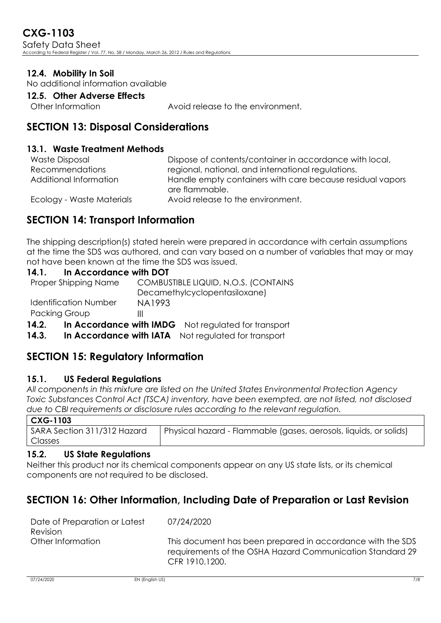### **12.4. Mobility In Soil**

No additional information available

#### **12.5. Other Adverse Effects**

Other Information : Avoid release to the environment.

### **SECTION 13: Disposal Considerations**

#### **13.1. Waste Treatment Methods**

| <b>Waste Disposal</b>     | Dispose of contents/container in accordance with local,                     |
|---------------------------|-----------------------------------------------------------------------------|
| <b>Recommendations</b>    | regional, national, and international regulations.                          |
| Additional Information    | Handle empty containers with care because residual vapors<br>are flammable. |
| Ecology - Waste Materials | Avoid release to the environment.                                           |

# **SECTION 14: Transport Information**

The shipping description(s) stated herein were prepared in accordance with certain assumptions at the time the SDS was authored, and can vary based on a number of variables that may or may not have been known at the time the SDS was issued.

#### **14.1. In Accordance with DOT**

| 14.2.                        | In Accordance with IMDG Not regulated for transport |
|------------------------------|-----------------------------------------------------|
| <b>Packing Group</b>         | Ш                                                   |
| <b>Identification Number</b> | NA1993                                              |
|                              | Decamethylcyclopentasiloxane)                       |
| Proper Shipping Name         | COMBUSTIBLE LIQUID, N.O.S. (CONTAINS                |

14.3. In Accordance with IATA Not requlated for transport

# **SECTION 15: Regulatory Information**

### **15.1. US Federal Regulations**

*All components in this mixture are listed on the United States Environmental Protection Agency Toxic Substances Control Act (TSCA) inventory, have been exempted, are not listed, not disclosed due to CBI requirements or disclosure rules according to the relevant regulation.*

| G-11<br>12<br>r |  |
|-----------------|--|

| טטוויט ע                    |                                                                   |
|-----------------------------|-------------------------------------------------------------------|
| SARA Section 311/312 Hazard | Physical hazard - Flammable (gases, aerosols, liquids, or solids) |
| Classes                     |                                                                   |

### **15.2. US State Regulations**

Neither this product nor its chemical components appear on any US state lists, or its chemical components are not required to be disclosed.

: 07/24/2020

# **SECTION 16: Other Information, Including Date of Preparation or Last Revision**

| Date of Preparation or Latest |  |  |
|-------------------------------|--|--|
| Revision                      |  |  |
| Other Information             |  |  |

This document has been prepared in accordance with the SDS requirements of the OSHA Hazard Communication Standard 29 CFR 1910.1200.